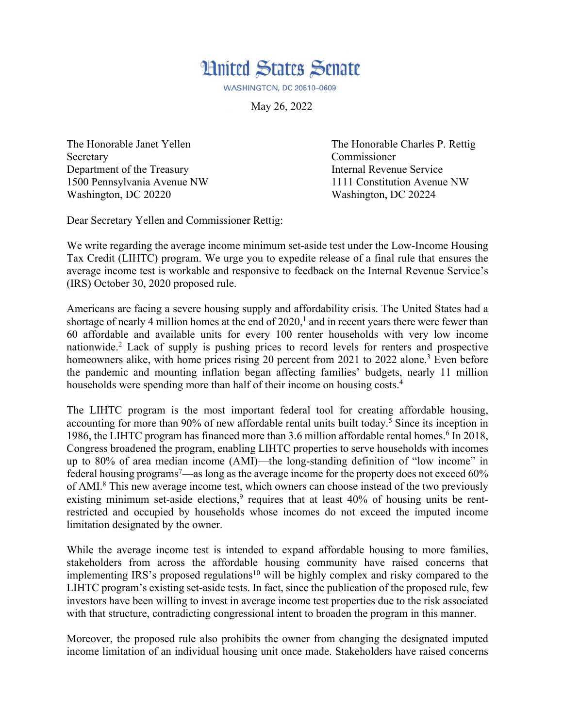

**WASHINGTON, DC 20510-0609** 

May 26, 2022

Secretary Commissioner Department of the Treasury **Internal Revenue Service** 1500 Pennsylvania Avenue NW 1111 Constitution Avenue NW Washington, DC 20220 Washington, DC 20224

The Honorable Janet Yellen The Honorable Charles P. Rettig

Dear Secretary Yellen and Commissioner Rettig:

We write regarding the average income minimum set-aside test under the Low-Income Housing Tax Credit (LIHTC) program. We urge you to expedite release of a final rule that ensures the average income test is workable and responsive to feedback on the Internal Revenue Service's (IRS) October 30, 2020 proposed rule.

Americans are facing a severe housing supply and affordability crisis. The United States had a shortage of nearly 4 million homes at the end of  $2020$ , and in recent years there were fewer than 60 affordable and available units for every 100 renter households with very low income nationwide. <sup>2</sup> Lack of supply is pushing prices to record levels for renters and prospective homeowners alike, with home prices rising 20 percent from 2021 to 2022 alone.<sup>3</sup> Even before the pandemic and mounting inflation began affecting families' budgets, nearly 11 million households were spending more than half of their income on housing costs.<sup>4</sup>

The LIHTC program is the most important federal tool for creating affordable housing, accounting for more than 90% of new affordable rental units built today. <sup>5</sup> Since its inception in 1986, the LIHTC program has financed more than 3.6 million affordable rental homes. <sup>6</sup> In 2018, Congress broadened the program, enabling LIHTC properties to serve households with incomes up to 80% of area median income (AMI)—the long-standing definition of "low income" in federal housing programs<sup>7</sup>—as long as the average income for the property does not exceed  $60\%$ of AMI.8 This new average income test, which owners can choose instead of the two previously existing minimum set-aside elections,<sup>9</sup> requires that at least 40% of housing units be rentrestricted and occupied by households whose incomes do not exceed the imputed income limitation designated by the owner.

While the average income test is intended to expand affordable housing to more families, stakeholders from across the affordable housing community have raised concerns that implementing IRS's proposed regulations<sup>10</sup> will be highly complex and risky compared to the LIHTC program's existing set-aside tests. In fact, since the publication of the proposed rule, few investors have been willing to invest in average income test properties due to the risk associated with that structure, contradicting congressional intent to broaden the program in this manner.

Moreover, the proposed rule also prohibits the owner from changing the designated imputed income limitation of an individual housing unit once made. Stakeholders have raised concerns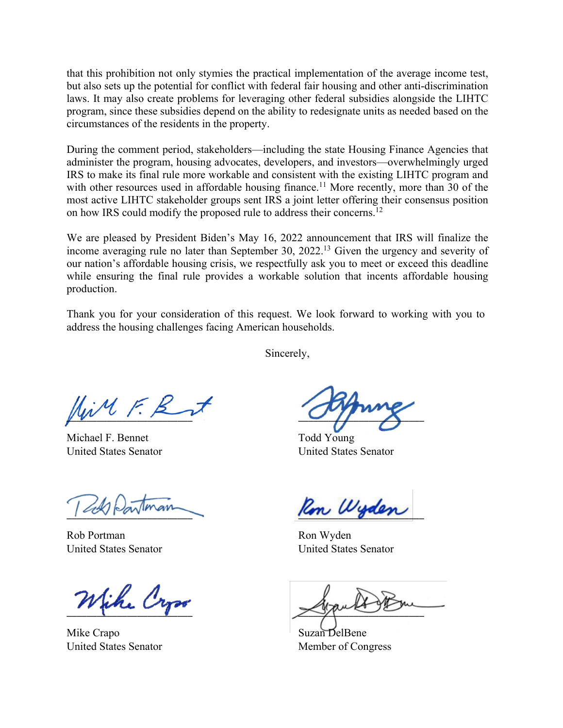that this prohibition not only stymies the practical implementation of the average income test, but also sets up the potential for conflict with federal fair housing and other anti-discrimination laws. It may also create problems for leveraging other federal subsidies alongside the LIHTC program, since these subsidies depend on the ability to redesignate units as needed based on the circumstances of the residents in the property.

During the comment period, stakeholders—including the state Housing Finance Agencies that administer the program, housing advocates, developers, and investors—overwhelmingly urged IRS to make its final rule more workable and consistent with the existing LIHTC program and with other resources used in affordable housing finance.<sup>11</sup> More recently, more than 30 of the most active LIHTC stakeholder groups sent IRS a joint letter offering their consensus position on how IRS could modify the proposed rule to address their concerns.<sup>12</sup>

We are pleased by President Biden's May 16, 2022 announcement that IRS will finalize the income averaging rule no later than September 30, 2022.<sup>13</sup> Given the urgency and severity of our nation's affordable housing crisis, we respectfully ask you to meet or exceed this deadline while ensuring the final rule provides a workable solution that incents affordable housing production.

Thank you for your consideration of this request. We look forward to working with you to address the housing challenges facing American households.

Sincerely,

 $\Box$ 

Michael F. Bennet Todd Young United States Senator United States Senator

Rob Portman Ron Wyden

Wike Cross

Mike Crapo Suzan DelBene United States Senator Member of Congress

Ron Wyden

United States Senator United States Senator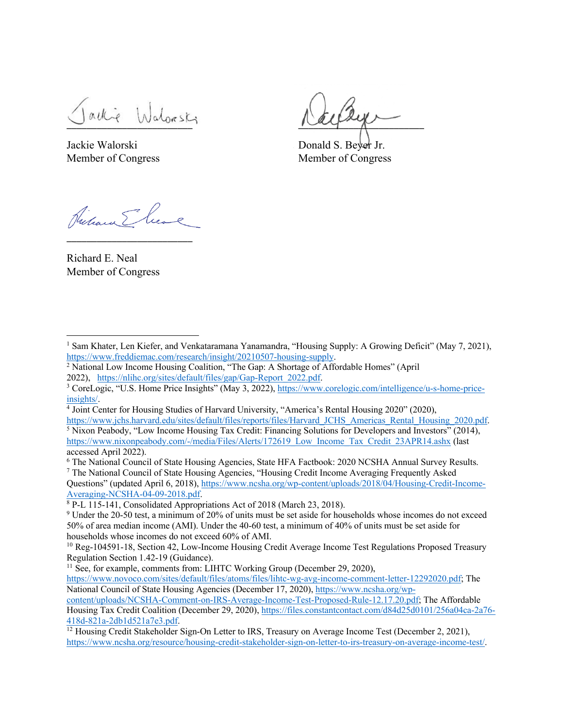active Information

Jackie Walorski Donald S. Beyer Jr.

Member of Congress Member of Congress

\_\_\_\_\_\_\_\_\_\_\_\_\_\_\_\_\_\_\_\_\_\_\_\_\_

Richard E. Neal Member of Congress

Questions" (updated April 6, 2018), https://www.ncsha.org/wp-content/uploads/2018/04/Housing-Credit-Income-Averaging-NCSHA-04-09-2018.pdf.

<sup>&</sup>lt;sup>1</sup> Sam Khater, Len Kiefer, and Venkataramana Yanamandra, "Housing Supply: A Growing Deficit" (May 7, 2021), https://www.freddiemac.com/research/insight/20210507-housing-supply.

<sup>2</sup> National Low Income Housing Coalition, "The Gap: A Shortage of Affordable Homes" (April 2022), https://nlihc.org/sites/default/files/gap/Gap-Report\_2022.pdf.

<sup>3</sup> CoreLogic, "U.S. Home Price Insights" (May 3, 2022), https://www.corelogic.com/intelligence/u-s-home-priceinsights/.

<sup>4</sup> Joint Center for Housing Studies of Harvard University, "America's Rental Housing 2020" (2020), https://www.jchs.harvard.edu/sites/default/files/reports/files/Harvard\_JCHS\_Americas\_Rental\_Housing\_2020.pdf.

 $\frac{5}{3}$  Nixon Peabody, "Low Income Housing Tax Credit: Financing Solutions for Developers and Investors" (2014), https://www.nixonpeabody.com/-/media/Files/Alerts/172619\_Low\_Income\_Tax\_Credit\_23APR14.ashx (last accessed April 2022).

<sup>6</sup> The National Council of State Housing Agencies, State HFA Factbook: 2020 NCSHA Annual Survey Results.  $7$  The National Council of State Housing Agencies, "Housing Credit Income Averaging Frequently Asked

 $8$  P-L 115-141, Consolidated Appropriations Act of 2018 (March 23, 2018).

<sup>9</sup> Under the 20-50 test, a minimum of 20% of units must be set aside for households whose incomes do not exceed 50% of area median income (AMI). Under the 40-60 test, a minimum of 40% of units must be set aside for households whose incomes do not exceed 60% of AMI.<br><sup>10</sup> Reg-104591-18, Section 42, Low-Income Housing Credit Average Income Test Regulations Proposed Treasury

Regulation Section 1.42-19 (Guidance).

<sup>&</sup>lt;sup>11</sup> See, for example, comments from: LIHTC Working Group (December 29, 2020),

https://www.novoco.com/sites/default/files/atoms/files/lihtc-wg-avg-income-comment-letter-12292020.pdf; The National Council of State Housing Agencies (December 17, 2020), https://www.ncsha.org/wpcontent/uploads/NCSHA-Comment-on-IRS-Average-Income-Test-Proposed-Rule-12.17.20.pdf; The Affordable

Housing Tax Credit Coalition (December 29, 2020), https://files.constantcontact.com/d84d25d0101/256a04ca-2a76- 418d-821a-2db1d521a7e3.pdf.

 $\frac{12}{12}$  Housing Credit Stakeholder Sign-On Letter to IRS, Treasury on Average Income Test (December 2, 2021), https://www.ncsha.org/resource/housing-credit-stakeholder-sign-on-letter-to-irs-treasury-on-average-income-test/.